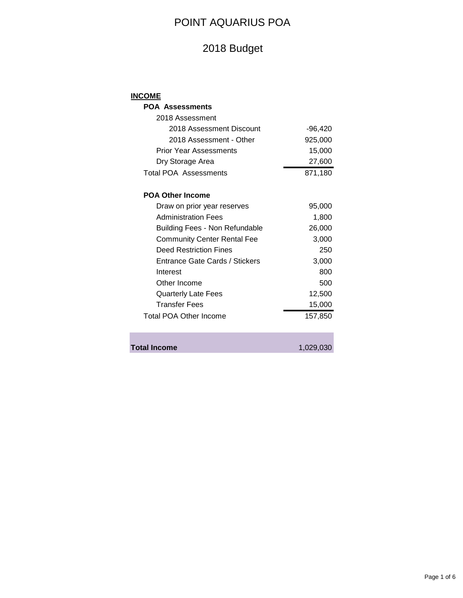# 2018 Budget

#### **INCOME**

#### **POA Assessments**

| 2018 Assessment               |         |
|-------------------------------|---------|
| 2018 Assessment Discount      | -96,420 |
| 2018 Assessment - Other       | 925,000 |
| <b>Prior Year Assessments</b> | 15,000  |
| Dry Storage Area              | 27,600  |
| <b>Total POA Assessments</b>  | 871,180 |

#### **POA Other Income**

| Draw on prior year reserves           | 95,000  |
|---------------------------------------|---------|
| <b>Administration Fees</b>            | 1,800   |
| Building Fees - Non Refundable        | 26,000  |
| <b>Community Center Rental Fee</b>    | 3,000   |
| Deed Restriction Fines                | 250     |
| <b>Entrance Gate Cards / Stickers</b> | 3,000   |
| Interest                              | 800     |
| Other Income                          | 500     |
| <b>Quarterly Late Fees</b>            | 12,500  |
| <b>Transfer Fees</b>                  | 15,000  |
| Total POA Other Income                | 157.850 |
|                                       |         |

| 1,029,030 |
|-----------|
|           |
|           |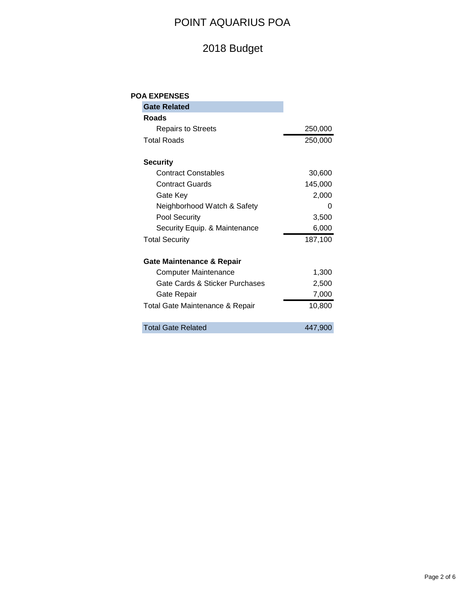# 2018 Budget

#### **POA EXPENSES**

| <b>Gate Related</b>                  |         |
|--------------------------------------|---------|
| Roads                                |         |
| <b>Repairs to Streets</b>            | 250,000 |
| <b>Total Roads</b>                   | 250,000 |
| <b>Security</b>                      |         |
| <b>Contract Constables</b>           | 30,600  |
| <b>Contract Guards</b>               | 145,000 |
| Gate Key                             | 2,000   |
| Neighborhood Watch & Safety          | O       |
| <b>Pool Security</b>                 | 3,500   |
| Security Equip. & Maintenance        | 6,000   |
| <b>Total Security</b>                | 187,100 |
| <b>Gate Maintenance &amp; Repair</b> |         |
| <b>Computer Maintenance</b>          | 1,300   |
| Gate Cards & Sticker Purchases       | 2,500   |
| Gate Repair                          | 7,000   |
| Total Gate Maintenance & Repair      | 10,800  |
| Total Gate Related                   | 447,900 |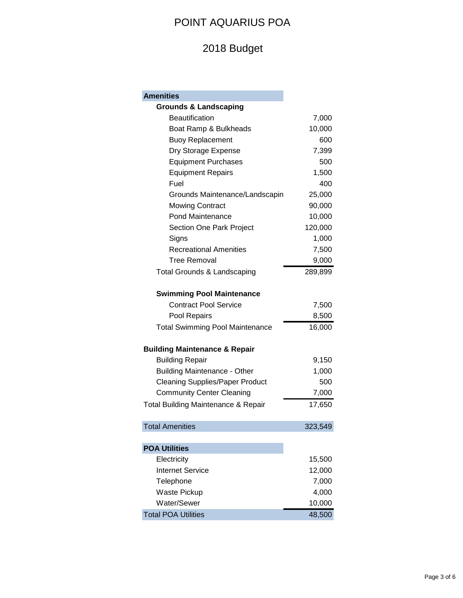# 2018 Budget

| <b>Amenities</b>                         |         |
|------------------------------------------|---------|
| <b>Grounds &amp; Landscaping</b>         |         |
| <b>Beautification</b>                    | 7,000   |
| Boat Ramp & Bulkheads                    | 10,000  |
| <b>Buoy Replacement</b>                  | 600     |
| Dry Storage Expense                      | 7,399   |
| <b>Equipment Purchases</b>               | 500     |
| <b>Equipment Repairs</b>                 | 1,500   |
| Fuel                                     | 400     |
| Grounds Maintenance/Landscapin           | 25,000  |
| <b>Mowing Contract</b>                   | 90,000  |
| <b>Pond Maintenance</b>                  | 10,000  |
| Section One Park Project                 | 120,000 |
| Signs                                    | 1,000   |
| <b>Recreational Amenities</b>            | 7,500   |
| Tree Removal                             | 9,000   |
| Total Grounds & Landscaping              | 289,899 |
| <b>Swimming Pool Maintenance</b>         |         |
| <b>Contract Pool Service</b>             | 7,500   |
| Pool Repairs                             | 8,500   |
| <b>Total Swimming Pool Maintenance</b>   | 16,000  |
| <b>Building Maintenance &amp; Repair</b> |         |
| <b>Building Repair</b>                   | 9,150   |
| <b>Building Maintenance - Other</b>      | 1,000   |
| <b>Cleaning Supplies/Paper Product</b>   | 500     |
| <b>Community Center Cleaning</b>         | 7,000   |
| Total Building Maintenance & Repair      | 17,650  |
| <b>Total Amenities</b>                   | 323,549 |
| <b>POA Utilities</b>                     |         |
| Electricity                              | 15,500  |
| <b>Internet Service</b>                  | 12,000  |
| Telephone                                | 7,000   |
| Waste Pickup                             | 4,000   |
| Water/Sewer                              | 10,000  |
| <b>Total POA Utilities</b>               | 48,500  |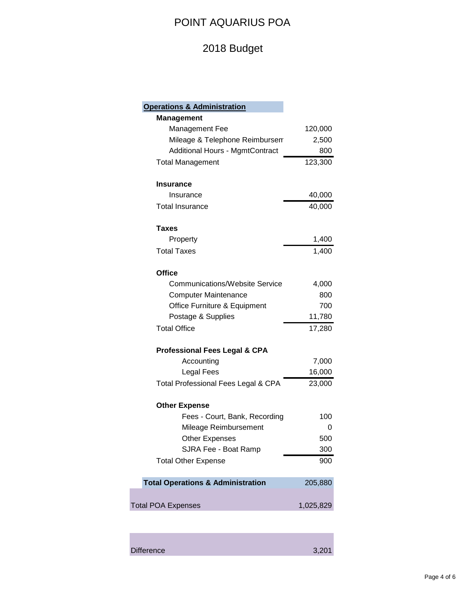# 2018 Budget

| <b>Operations &amp; Administration</b>         |           |
|------------------------------------------------|-----------|
| <b>Management</b>                              |           |
| Management Fee                                 | 120,000   |
| Mileage & Telephone Reimbursen                 | 2,500     |
| Additional Hours - MgmtContract                | 800       |
| <b>Total Management</b>                        | 123,300   |
| <b>Insurance</b>                               |           |
| Insurance                                      | 40,000    |
| <b>Total Insurance</b>                         | 40,000    |
| Taxes                                          |           |
| Property                                       | 1,400     |
| <b>Total Taxes</b>                             | 1,400     |
| <b>Office</b>                                  |           |
| <b>Communications/Website Service</b>          | 4,000     |
| <b>Computer Maintenance</b>                    | 800       |
| Office Furniture & Equipment                   | 700       |
| Postage & Supplies                             | 11,780    |
| <b>Total Office</b>                            | 17,280    |
| <b>Professional Fees Legal &amp; CPA</b>       |           |
| Accounting                                     | 7,000     |
| Legal Fees                                     | 16,000    |
| <b>Total Professional Fees Legal &amp; CPA</b> | 23,000    |
| <b>Other Expense</b>                           |           |
| Fees - Court, Bank, Recording                  | 100       |
| Mileage Reimbursement                          | 0         |
| <b>Other Expenses</b>                          | 500       |
| SJRA Fee - Boat Ramp                           | 300       |
| <b>Total Other Expense</b>                     | 900       |
| <b>Total Operations &amp; Administration</b>   | 205,880   |
| <b>Total POA Expenses</b>                      | 1,025,829 |
|                                                |           |

| <b>Difference</b> | 3.201 |
|-------------------|-------|
|                   |       |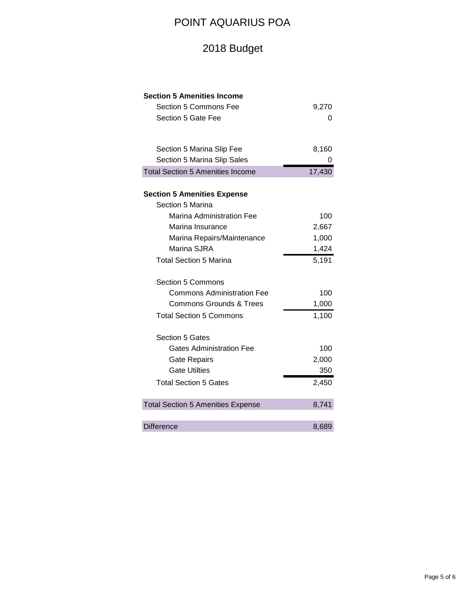# 2018 Budget

| <b>Section 5 Amenities Income</b>        |        |
|------------------------------------------|--------|
| Section 5 Commons Fee                    | 9,270  |
| Section 5 Gate Fee                       | 0      |
|                                          |        |
| Section 5 Marina Slip Fee                | 8,160  |
| Section 5 Marina Slip Sales              | 0      |
| <b>Total Section 5 Amenities Income</b>  | 17,430 |
| <b>Section 5 Amenities Expense</b>       |        |
| Section 5 Marina                         |        |
| Marina Administration Fee                | 100    |
| Marina Insurance                         | 2,667  |
| Marina Repairs/Maintenance               | 1,000  |
| Marina SJRA                              | 1,424  |
| <b>Total Section 5 Marina</b>            | 5,191  |
| Section 5 Commons                        |        |
| <b>Commons Administration Fee</b>        | 100    |
| Commons Grounds & Trees                  | 1,000  |
| <b>Total Section 5 Commons</b>           | 1,100  |
| <b>Section 5 Gates</b>                   |        |
| <b>Gates Administration Fee</b>          | 100    |
| <b>Gate Repairs</b>                      | 2,000  |
| <b>Gate Utilties</b>                     | 350    |
|                                          |        |
| <b>Total Section 5 Gates</b>             | 2,450  |
| <b>Total Section 5 Amenities Expense</b> | 8,741  |
|                                          |        |
| <b>Difference</b>                        | 8,689  |